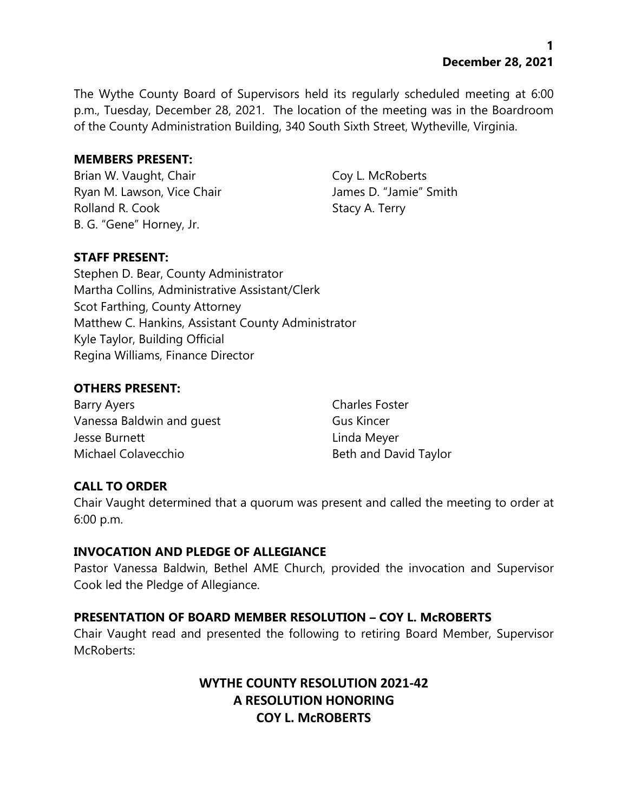The Wythe County Board of Supervisors held its regularly scheduled meeting at 6:00 p.m., Tuesday, December 28, 2021. The location of the meeting was in the Boardroom of the County Administration Building, 340 South Sixth Street, Wytheville, Virginia.

#### **MEMBERS PRESENT:**

Brian W. Vaught, Chair Coy L. McRoberts Ryan M. Lawson, Vice Chair **James D. "Jamie"** Smith Rolland R. Cook Stacy A. Terry B. G. "Gene" Horney, Jr.

### **STAFF PRESENT:**

Stephen D. Bear, County Administrator Martha Collins, Administrative Assistant/Clerk Scot Farthing, County Attorney Matthew C. Hankins, Assistant County Administrator Kyle Taylor, Building Official Regina Williams, Finance Director

### **OTHERS PRESENT:**

Barry Ayers **Charles Foster** Vanessa Baldwin and quest Gus Kincer Jesse Burnett **Linda Meyer** Michael Colavecchio **Beth and David Taylor** Beth and David Taylor

## **CALL TO ORDER**

Chair Vaught determined that a quorum was present and called the meeting to order at 6:00 p.m.

### **INVOCATION AND PLEDGE OF ALLEGIANCE**

Pastor Vanessa Baldwin, Bethel AME Church, provided the invocation and Supervisor Cook led the Pledge of Allegiance.

### **PRESENTATION OF BOARD MEMBER RESOLUTION – COY L. McROBERTS**

Chair Vaught read and presented the following to retiring Board Member, Supervisor McRoberts:

# **WYTHE COUNTY RESOLUTION 2021-42 A RESOLUTION HONORING COY L. McROBERTS**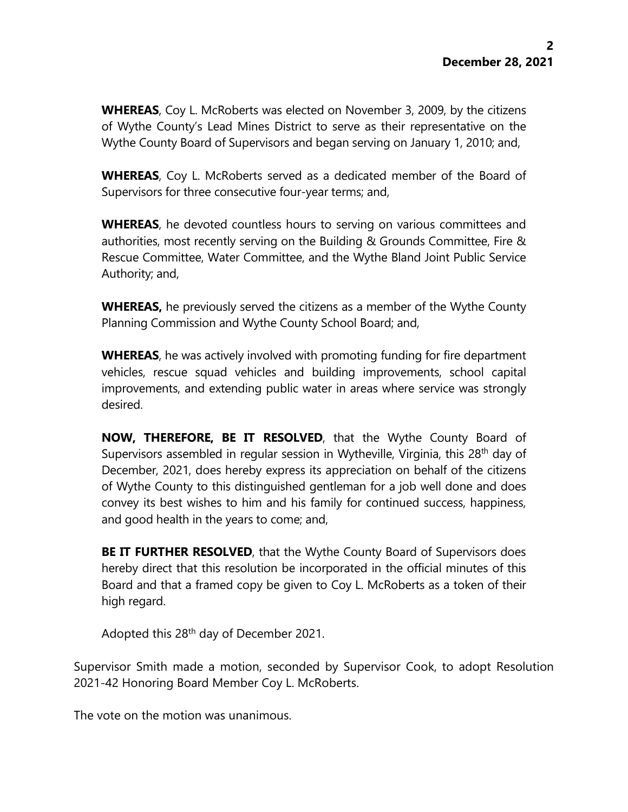**WHEREAS**, Coy L. McRoberts was elected on November 3, 2009, by the citizens of Wythe County's Lead Mines District to serve as their representative on the Wythe County Board of Supervisors and began serving on January 1, 2010; and,

**WHEREAS**, Coy L. McRoberts served as a dedicated member of the Board of Supervisors for three consecutive four-year terms; and,

**WHEREAS**, he devoted countless hours to serving on various committees and authorities, most recently serving on the Building & Grounds Committee, Fire & Rescue Committee, Water Committee, and the Wythe Bland Joint Public Service Authority; and,

**WHEREAS,** he previously served the citizens as a member of the Wythe County Planning Commission and Wythe County School Board; and,

**WHEREAS**, he was actively involved with promoting funding for fire department vehicles, rescue squad vehicles and building improvements, school capital improvements, and extending public water in areas where service was strongly desired.

**NOW, THEREFORE, BE IT RESOLVED**, that the Wythe County Board of Supervisors assembled in regular session in Wytheville, Virginia, this 28<sup>th</sup> day of December, 2021, does hereby express its appreciation on behalf of the citizens of Wythe County to this distinguished gentleman for a job well done and does convey its best wishes to him and his family for continued success, happiness, and good health in the years to come; and,

**BE IT FURTHER RESOLVED**, that the Wythe County Board of Supervisors does hereby direct that this resolution be incorporated in the official minutes of this Board and that a framed copy be given to Coy L. McRoberts as a token of their high regard.

Adopted this 28<sup>th</sup> day of December 2021.

Supervisor Smith made a motion, seconded by Supervisor Cook, to adopt Resolution 2021-42 Honoring Board Member Coy L. McRoberts.

The vote on the motion was unanimous.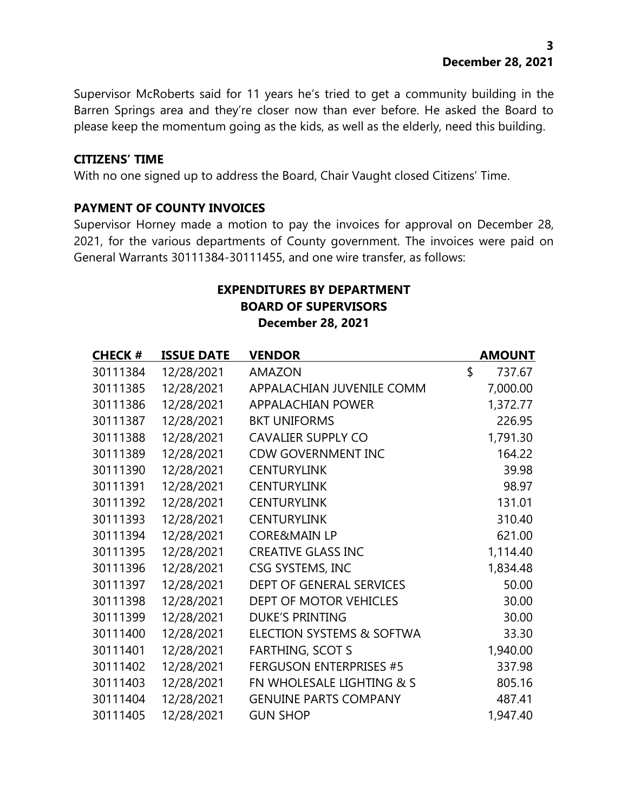Supervisor McRoberts said for 11 years he's tried to get a community building in the Barren Springs area and they're closer now than ever before. He asked the Board to please keep the momentum going as the kids, as well as the elderly, need this building.

#### **CITIZENS' TIME**

With no one signed up to address the Board, Chair Vaught closed Citizens' Time.

#### **PAYMENT OF COUNTY INVOICES**

Supervisor Horney made a motion to pay the invoices for approval on December 28, 2021, for the various departments of County government. The invoices were paid on General Warrants 30111384-30111455, and one wire transfer, as follows:

### **EXPENDITURES BY DEPARTMENT BOARD OF SUPERVISORS December 28, 2021**

| <b>CHECK #</b> | <b>ISSUE DATE</b> | <b>VENDOR</b>                  | <b>AMOUNT</b> |
|----------------|-------------------|--------------------------------|---------------|
| 30111384       | 12/28/2021        | <b>AMAZON</b>                  | \$<br>737.67  |
| 30111385       | 12/28/2021        | APPALACHIAN JUVENILE COMM      | 7,000.00      |
| 30111386       | 12/28/2021        | <b>APPALACHIAN POWER</b>       | 1,372.77      |
| 30111387       | 12/28/2021        | <b>BKT UNIFORMS</b>            | 226.95        |
| 30111388       | 12/28/2021        | <b>CAVALIER SUPPLY CO</b>      | 1,791.30      |
| 30111389       | 12/28/2021        | <b>CDW GOVERNMENT INC</b>      | 164.22        |
| 30111390       | 12/28/2021        | <b>CENTURYLINK</b>             | 39.98         |
| 30111391       | 12/28/2021        | <b>CENTURYLINK</b>             | 98.97         |
| 30111392       | 12/28/2021        | <b>CENTURYLINK</b>             | 131.01        |
| 30111393       | 12/28/2021        | <b>CENTURYLINK</b>             | 310.40        |
| 30111394       | 12/28/2021        | <b>CORE&amp;MAIN LP</b>        | 621.00        |
| 30111395       | 12/28/2021        | <b>CREATIVE GLASS INC</b>      | 1,114.40      |
| 30111396       | 12/28/2021        | CSG SYSTEMS, INC               | 1,834.48      |
| 30111397       | 12/28/2021        | DEPT OF GENERAL SERVICES       | 50.00         |
| 30111398       | 12/28/2021        | DEPT OF MOTOR VEHICLES         | 30.00         |
| 30111399       | 12/28/2021        | <b>DUKE'S PRINTING</b>         | 30.00         |
| 30111400       | 12/28/2021        | ELECTION SYSTEMS & SOFTWA      | 33.30         |
| 30111401       | 12/28/2021        | <b>FARTHING, SCOT S</b>        | 1,940.00      |
| 30111402       | 12/28/2021        | <b>FERGUSON ENTERPRISES #5</b> | 337.98        |
| 30111403       | 12/28/2021        | FN WHOLESALE LIGHTING & S      | 805.16        |
| 30111404       | 12/28/2021        | <b>GENUINE PARTS COMPANY</b>   | 487.41        |
| 30111405       | 12/28/2021        | <b>GUN SHOP</b>                | 1,947.40      |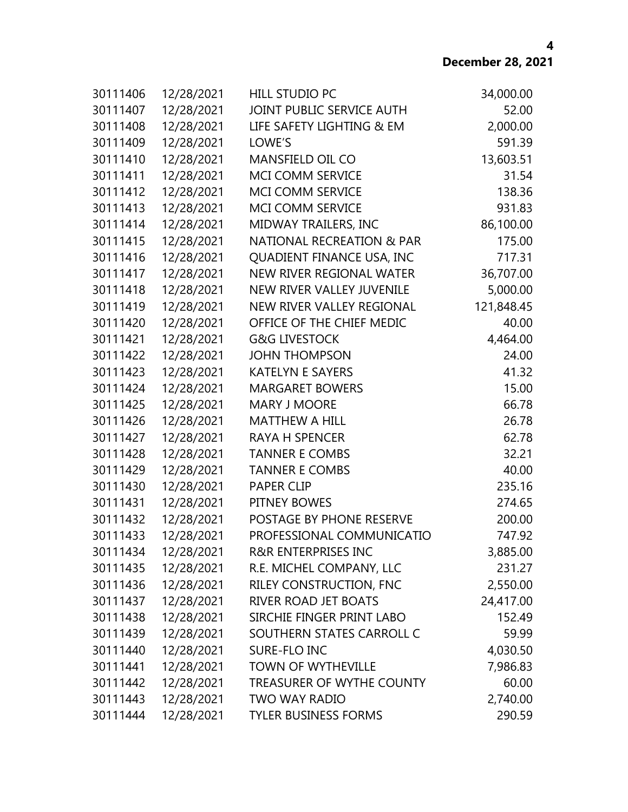| 30111406 | 12/28/2021 | <b>HILL STUDIO PC</b>                | 34,000.00  |
|----------|------------|--------------------------------------|------------|
| 30111407 | 12/28/2021 | JOINT PUBLIC SERVICE AUTH            | 52.00      |
| 30111408 | 12/28/2021 | LIFE SAFETY LIGHTING & EM            | 2,000.00   |
| 30111409 | 12/28/2021 | LOWE'S                               | 591.39     |
| 30111410 | 12/28/2021 | MANSFIELD OIL CO                     | 13,603.51  |
| 30111411 | 12/28/2021 | MCI COMM SERVICE                     | 31.54      |
| 30111412 | 12/28/2021 | MCI COMM SERVICE                     | 138.36     |
| 30111413 | 12/28/2021 | <b>MCI COMM SERVICE</b>              | 931.83     |
| 30111414 | 12/28/2021 | MIDWAY TRAILERS, INC                 | 86,100.00  |
| 30111415 | 12/28/2021 | <b>NATIONAL RECREATION &amp; PAR</b> | 175.00     |
| 30111416 | 12/28/2021 | QUADIENT FINANCE USA, INC            | 717.31     |
| 30111417 | 12/28/2021 | NEW RIVER REGIONAL WATER             | 36,707.00  |
| 30111418 | 12/28/2021 | <b>NEW RIVER VALLEY JUVENILE</b>     | 5,000.00   |
| 30111419 | 12/28/2021 | NEW RIVER VALLEY REGIONAL            | 121,848.45 |
| 30111420 | 12/28/2021 | OFFICE OF THE CHIEF MEDIC            | 40.00      |
| 30111421 | 12/28/2021 | <b>G&amp;G LIVESTOCK</b>             | 4,464.00   |
| 30111422 | 12/28/2021 | <b>JOHN THOMPSON</b>                 | 24.00      |
| 30111423 | 12/28/2021 | <b>KATELYN E SAYERS</b>              | 41.32      |
| 30111424 | 12/28/2021 | <b>MARGARET BOWERS</b>               | 15.00      |
| 30111425 | 12/28/2021 | <b>MARY J MOORE</b>                  | 66.78      |
| 30111426 | 12/28/2021 | <b>MATTHEW A HILL</b>                | 26.78      |
| 30111427 | 12/28/2021 | <b>RAYA H SPENCER</b>                | 62.78      |
| 30111428 | 12/28/2021 | <b>TANNER E COMBS</b>                | 32.21      |
| 30111429 | 12/28/2021 | <b>TANNER E COMBS</b>                | 40.00      |
| 30111430 | 12/28/2021 | <b>PAPER CLIP</b>                    | 235.16     |
| 30111431 | 12/28/2021 | PITNEY BOWES                         | 274.65     |
| 30111432 | 12/28/2021 | POSTAGE BY PHONE RESERVE             | 200.00     |
| 30111433 | 12/28/2021 | PROFESSIONAL COMMUNICATIO            | 747.92     |
| 30111434 | 12/28/2021 | <b>R&amp;R ENTERPRISES INC</b>       | 3,885.00   |
| 30111435 | 12/28/2021 | R.E. MICHEL COMPANY, LLC             | 231.27     |
| 30111436 | 12/28/2021 | RILEY CONSTRUCTION, FNC              | 2,550.00   |
| 30111437 | 12/28/2021 | RIVER ROAD JET BOATS                 | 24,417.00  |
| 30111438 | 12/28/2021 | SIRCHIE FINGER PRINT LABO            | 152.49     |
| 30111439 | 12/28/2021 | SOUTHERN STATES CARROLL C            | 59.99      |
| 30111440 | 12/28/2021 | SURE-FLO INC                         | 4,030.50   |
| 30111441 | 12/28/2021 | <b>TOWN OF WYTHEVILLE</b>            | 7,986.83   |
| 30111442 | 12/28/2021 | TREASURER OF WYTHE COUNTY            | 60.00      |
| 30111443 | 12/28/2021 | <b>TWO WAY RADIO</b>                 | 2,740.00   |
| 30111444 | 12/28/2021 | <b>TYLER BUSINESS FORMS</b>          | 290.59     |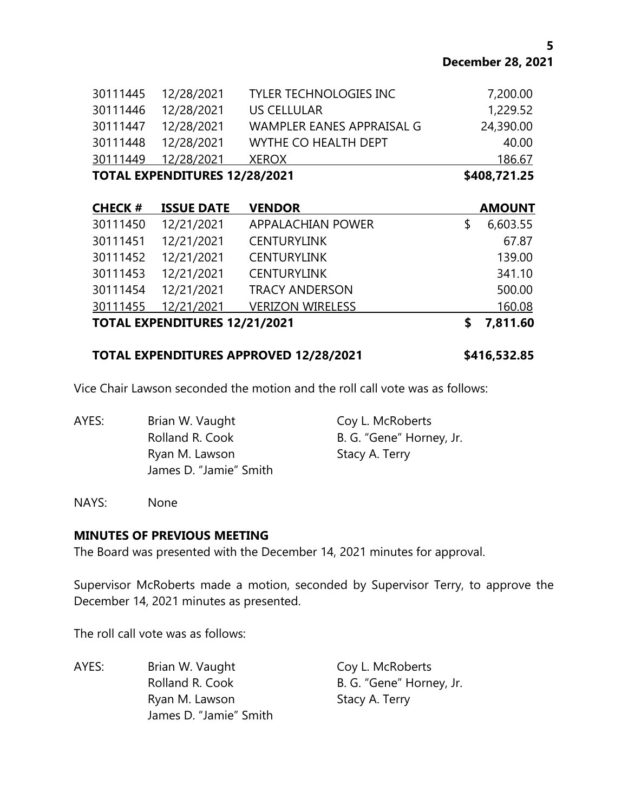| <b>TOTAL EXPENDITURES 12/28/2021</b> |                     |                               | \$408,721.25 |
|--------------------------------------|---------------------|-------------------------------|--------------|
| 30111449                             | 12/28/2021          | <b>XEROX</b>                  | 186.67       |
|                                      | 30111448 12/28/2021 | WYTHE CO HEALTH DEPT          | 40.00        |
|                                      | 30111447 12/28/2021 | WAMPLER EANES APPRAISAL G     | 24,390.00    |
| 30111446                             | 12/28/2021          | US CELLULAR                   | 1,229.52     |
|                                      | 30111445 12/28/2021 | <b>TYLER TECHNOLOGIES INC</b> | 7,200.00     |

| <b>CHECK#</b>                        | <b>ISSUE DATE</b> | <b>VENDOR</b>            |   | <b>AMOUNT</b> |
|--------------------------------------|-------------------|--------------------------|---|---------------|
| 30111450                             | 12/21/2021        | <b>APPALACHIAN POWER</b> | S | 6,603.55      |
| 30111451                             | 12/21/2021        | <b>CENTURYLINK</b>       |   | 67.87         |
| 30111452                             | 12/21/2021        | <b>CENTURYLINK</b>       |   | 139.00        |
| 30111453                             | 12/21/2021        | <b>CENTURYLINK</b>       |   | 341.10        |
| 30111454                             | 12/21/2021        | <b>TRACY ANDERSON</b>    |   | 500.00        |
| 30111455                             | 12/21/2021        | <b>VERIZON WIRELESS</b>  |   | 160.08        |
| <b>TOTAL EXPENDITURES 12/21/2021</b> |                   |                          |   | 7,811.60      |

#### **TOTAL EXPENDITURES APPROVED 12/28/2021 \$416,532.85**

Vice Chair Lawson seconded the motion and the roll call vote was as follows:

AYES: Brian W. Vaught Coy L. McRoberts Rolland R. Cook B. G. "Gene" Horney, Jr. Ryan M. Lawson Stacy A. Terry James D. "Jamie" Smith

NAYS: None

#### **MINUTES OF PREVIOUS MEETING**

The Board was presented with the December 14, 2021 minutes for approval.

Supervisor McRoberts made a motion, seconded by Supervisor Terry, to approve the December 14, 2021 minutes as presented.

The roll call vote was as follows:

AYES: Brian W. Vaught Coy L. McRoberts Rolland R. Cook B. G. "Gene" Horney, Jr. Ryan M. Lawson Stacy A. Terry James D. "Jamie" Smith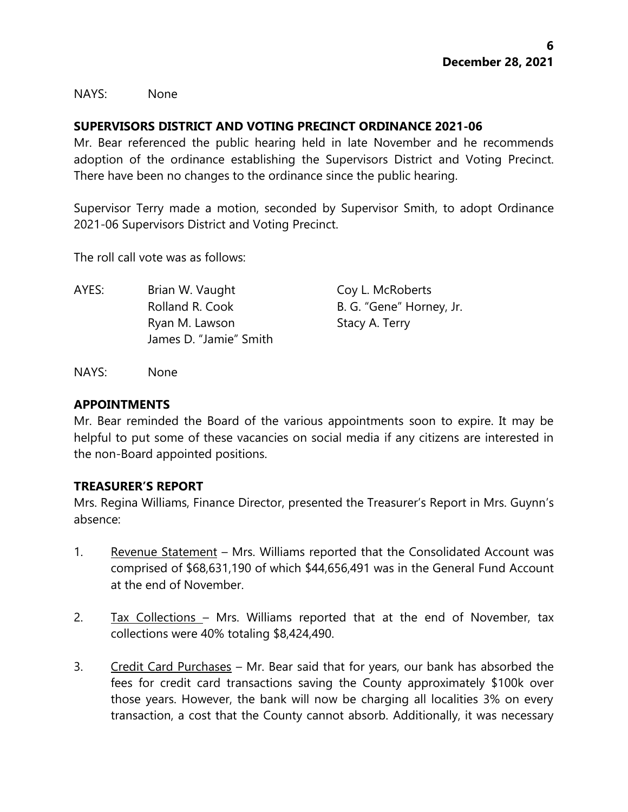NAYS: None

### **SUPERVISORS DISTRICT AND VOTING PRECINCT ORDINANCE 2021-06**

Mr. Bear referenced the public hearing held in late November and he recommends adoption of the ordinance establishing the Supervisors District and Voting Precinct. There have been no changes to the ordinance since the public hearing.

Supervisor Terry made a motion, seconded by Supervisor Smith, to adopt Ordinance 2021-06 Supervisors District and Voting Precinct.

The roll call vote was as follows:

AYES: Brian W. Vaught Coy L. McRoberts Rolland R. Cook B. G. "Gene" Horney, Jr. Ryan M. Lawson Stacy A. Terry James D. "Jamie" Smith

NAYS: None

#### **APPOINTMENTS**

Mr. Bear reminded the Board of the various appointments soon to expire. It may be helpful to put some of these vacancies on social media if any citizens are interested in the non-Board appointed positions.

### **TREASURER'S REPORT**

Mrs. Regina Williams, Finance Director, presented the Treasurer's Report in Mrs. Guynn's absence:

- 1. Revenue Statement Mrs. Williams reported that the Consolidated Account was comprised of \$68,631,190 of which \$44,656,491 was in the General Fund Account at the end of November.
- 2. Tax Collections Mrs. Williams reported that at the end of November, tax collections were 40% totaling \$8,424,490.
- 3. Credit Card Purchases Mr. Bear said that for years, our bank has absorbed the fees for credit card transactions saving the County approximately \$100k over those years. However, the bank will now be charging all localities 3% on every transaction, a cost that the County cannot absorb. Additionally, it was necessary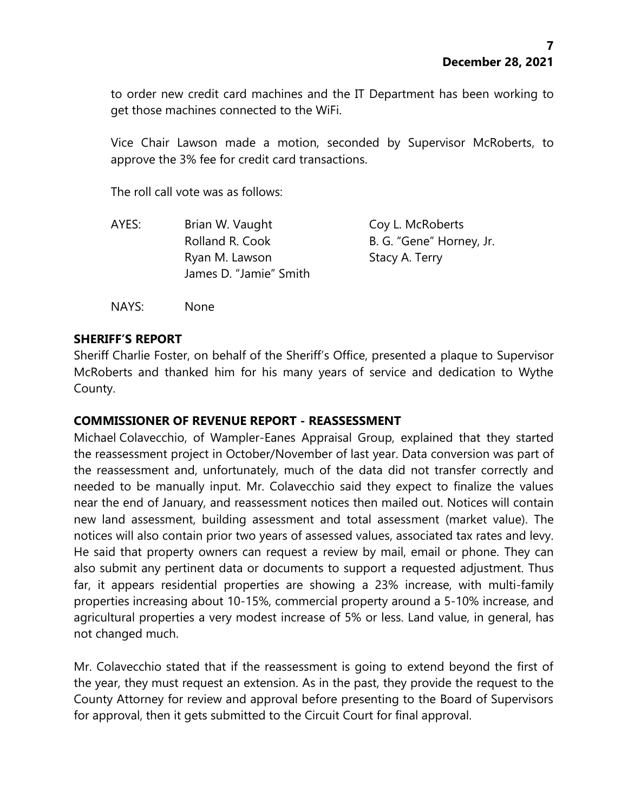to order new credit card machines and the IT Department has been working to get those machines connected to the WiFi.

Vice Chair Lawson made a motion, seconded by Supervisor McRoberts, to approve the 3% fee for credit card transactions.

The roll call vote was as follows:

| AYES: | Brian W. Vaught        | Coy L. McRoberts         |
|-------|------------------------|--------------------------|
|       | Rolland R. Cook        | B. G. "Gene" Horney, Jr. |
|       | Ryan M. Lawson         | Stacy A. Terry           |
|       | James D. "Jamie" Smith |                          |
|       |                        |                          |

NAYS: None

### **SHERIFF'S REPORT**

Sheriff Charlie Foster, on behalf of the Sheriff's Office, presented a plaque to Supervisor McRoberts and thanked him for his many years of service and dedication to Wythe County.

#### **COMMISSIONER OF REVENUE REPORT - REASSESSMENT**

Michael Colavecchio, of Wampler-Eanes Appraisal Group, explained that they started the reassessment project in October/November of last year. Data conversion was part of the reassessment and, unfortunately, much of the data did not transfer correctly and needed to be manually input. Mr. Colavecchio said they expect to finalize the values near the end of January, and reassessment notices then mailed out. Notices will contain new land assessment, building assessment and total assessment (market value). The notices will also contain prior two years of assessed values, associated tax rates and levy. He said that property owners can request a review by mail, email or phone. They can also submit any pertinent data or documents to support a requested adjustment. Thus far, it appears residential properties are showing a 23% increase, with multi-family properties increasing about 10-15%, commercial property around a 5-10% increase, and agricultural properties a very modest increase of 5% or less. Land value, in general, has not changed much.

Mr. Colavecchio stated that if the reassessment is going to extend beyond the first of the year, they must request an extension. As in the past, they provide the request to the County Attorney for review and approval before presenting to the Board of Supervisors for approval, then it gets submitted to the Circuit Court for final approval.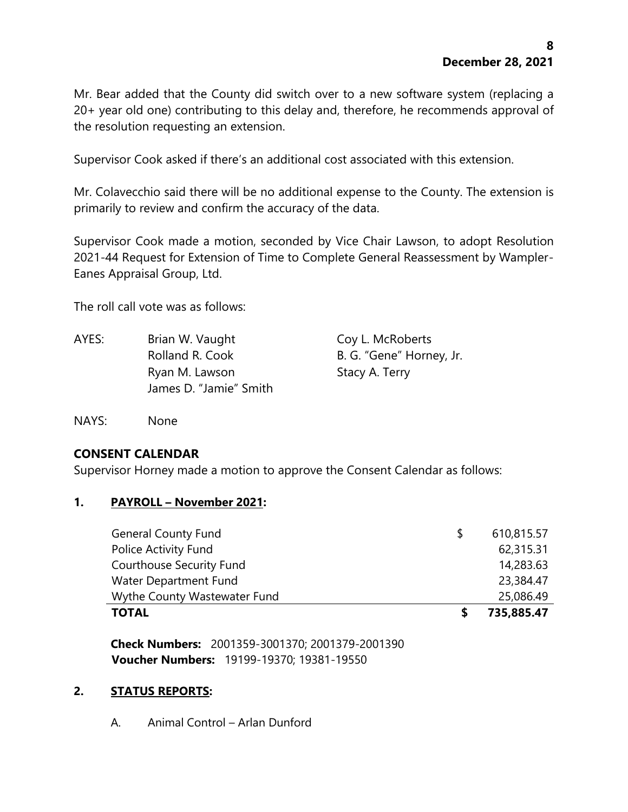Mr. Bear added that the County did switch over to a new software system (replacing a 20+ year old one) contributing to this delay and, therefore, he recommends approval of the resolution requesting an extension.

Supervisor Cook asked if there's an additional cost associated with this extension.

Mr. Colavecchio said there will be no additional expense to the County. The extension is primarily to review and confirm the accuracy of the data.

Supervisor Cook made a motion, seconded by Vice Chair Lawson, to adopt Resolution 2021-44 Request for Extension of Time to Complete General Reassessment by Wampler-Eanes Appraisal Group, Ltd.

The roll call vote was as follows:

AYES: Brian W. Vaught Coy L. McRoberts Rolland R. Cook B. G. "Gene" Horney, Jr. Ryan M. Lawson Stacy A. Terry James D. "Jamie" Smith

NAYS: None

### **CONSENT CALENDAR**

Supervisor Horney made a motion to approve the Consent Calendar as follows:

#### **1. PAYROLL – November 2021:**

| <b>General County Fund</b>      | S. | 610,815.57 |
|---------------------------------|----|------------|
| Police Activity Fund            |    | 62,315.31  |
| <b>Courthouse Security Fund</b> |    | 14,283.63  |
| Water Department Fund           |    | 23,384.47  |
| Wythe County Wastewater Fund    |    | 25,086.49  |
| <b>TOTAL</b>                    |    | 735,885.47 |

**Check Numbers:** 2001359-3001370; 2001379-2001390 **Voucher Numbers:** 19199-19370; 19381-19550

### **2. STATUS REPORTS:**

A. Animal Control – Arlan Dunford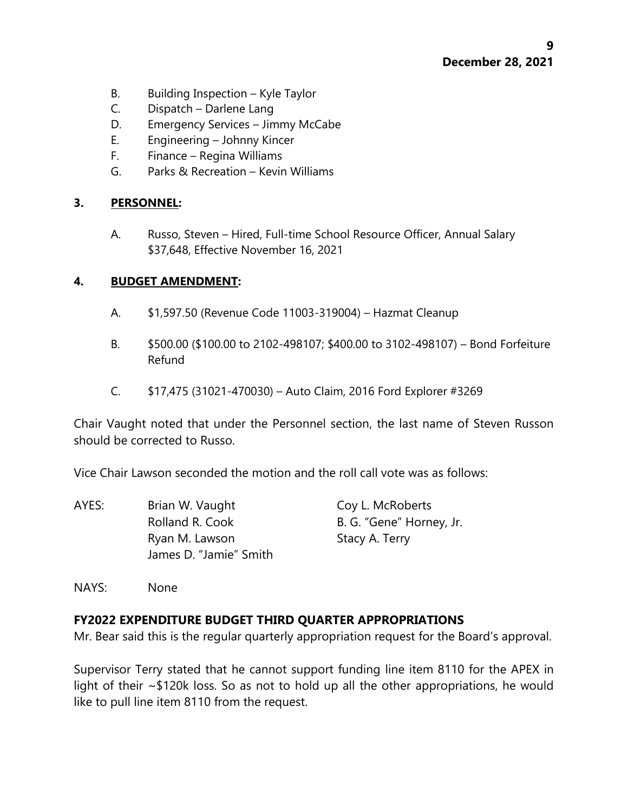- B. Building Inspection Kyle Taylor
- C. Dispatch Darlene Lang
- D. Emergency Services Jimmy McCabe
- E. Engineering Johnny Kincer
- F. Finance Regina Williams
- G. Parks & Recreation Kevin Williams

## **3. PERSONNEL:**

A. Russo, Steven – Hired, Full-time School Resource Officer, Annual Salary \$37,648, Effective November 16, 2021

### **4. BUDGET AMENDMENT:**

- A. \$1,597.50 (Revenue Code 11003-319004) Hazmat Cleanup
- B. \$500.00 (\$100.00 to 2102-498107; \$400.00 to 3102-498107) Bond Forfeiture Refund
- C. \$17,475 (31021-470030) Auto Claim, 2016 Ford Explorer #3269

Chair Vaught noted that under the Personnel section, the last name of Steven Russon should be corrected to Russo.

Vice Chair Lawson seconded the motion and the roll call vote was as follows:

AYES: Brian W. Vaught Coy L. McRoberts Rolland R. Cook B. G. "Gene" Horney, Jr. Ryan M. Lawson Stacy A. Terry James D. "Jamie" Smith

NAYS: None

## **FY2022 EXPENDITURE BUDGET THIRD QUARTER APPROPRIATIONS**

Mr. Bear said this is the regular quarterly appropriation request for the Board's approval.

Supervisor Terry stated that he cannot support funding line item 8110 for the APEX in light of their ~\$120k loss. So as not to hold up all the other appropriations, he would like to pull line item 8110 from the request.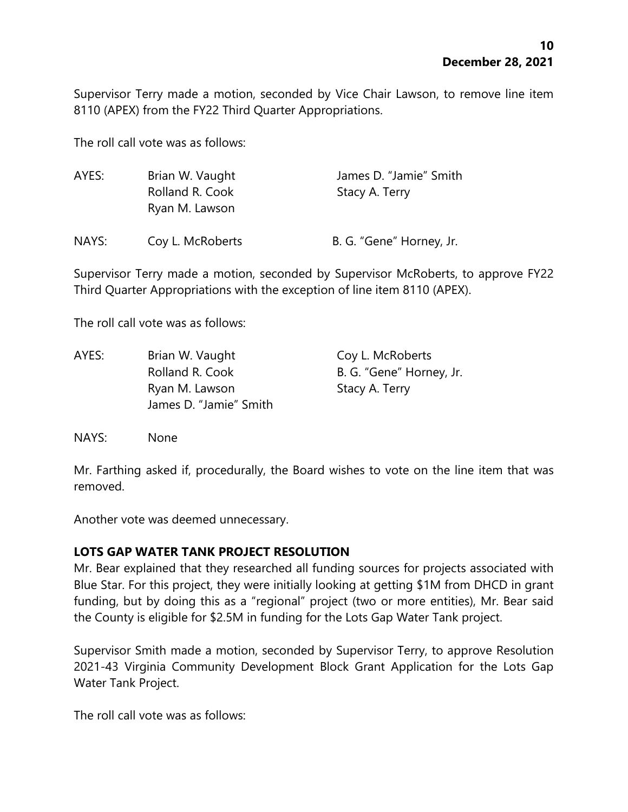Supervisor Terry made a motion, seconded by Vice Chair Lawson, to remove line item 8110 (APEX) from the FY22 Third Quarter Appropriations.

The roll call vote was as follows:

| AYES: | Brian W. Vaught<br>Rolland R. Cook<br>Ryan M. Lawson | James D. "Jamie" Smith<br>Stacy A. Terry |  |
|-------|------------------------------------------------------|------------------------------------------|--|
| NAYS: | Coy L. McRoberts                                     | B. G. "Gene" Horney, Jr.                 |  |

Supervisor Terry made a motion, seconded by Supervisor McRoberts, to approve FY22 Third Quarter Appropriations with the exception of line item 8110 (APEX).

The roll call vote was as follows:

| AYES: | Brian W. Vaught        | Coy L. McRoberts         |
|-------|------------------------|--------------------------|
|       | Rolland R. Cook        | B. G. "Gene" Horney, Jr. |
|       | Ryan M. Lawson         | Stacy A. Terry           |
|       | James D. "Jamie" Smith |                          |
|       |                        |                          |

NAYS: None

Mr. Farthing asked if, procedurally, the Board wishes to vote on the line item that was removed.

Another vote was deemed unnecessary.

### **LOTS GAP WATER TANK PROJECT RESOLUTION**

Mr. Bear explained that they researched all funding sources for projects associated with Blue Star. For this project, they were initially looking at getting \$1M from DHCD in grant funding, but by doing this as a "regional" project (two or more entities), Mr. Bear said the County is eligible for \$2.5M in funding for the Lots Gap Water Tank project.

Supervisor Smith made a motion, seconded by Supervisor Terry, to approve Resolution 2021-43 Virginia Community Development Block Grant Application for the Lots Gap Water Tank Project.

The roll call vote was as follows: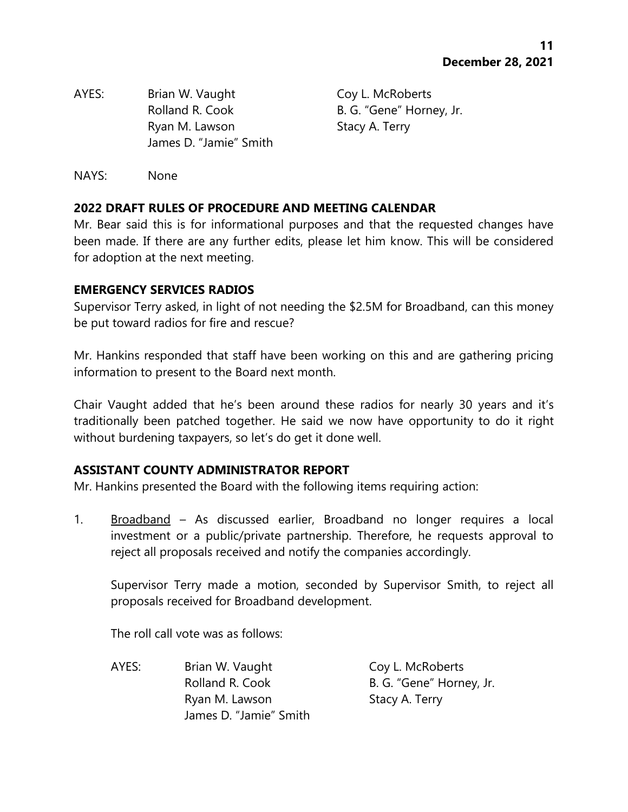AYES: Brian W. Vaught Coy L. McRoberts Rolland R. Cook B. G. "Gene" Horney, Jr. Ryan M. Lawson Stacy A. Terry James D. "Jamie" Smith

NAYS: None

## **2022 DRAFT RULES OF PROCEDURE AND MEETING CALENDAR**

Mr. Bear said this is for informational purposes and that the requested changes have been made. If there are any further edits, please let him know. This will be considered for adoption at the next meeting.

## **EMERGENCY SERVICES RADIOS**

Supervisor Terry asked, in light of not needing the \$2.5M for Broadband, can this money be put toward radios for fire and rescue?

Mr. Hankins responded that staff have been working on this and are gathering pricing information to present to the Board next month.

Chair Vaught added that he's been around these radios for nearly 30 years and it's traditionally been patched together. He said we now have opportunity to do it right without burdening taxpayers, so let's do get it done well.

## **ASSISTANT COUNTY ADMINISTRATOR REPORT**

Mr. Hankins presented the Board with the following items requiring action:

1. Broadband – As discussed earlier, Broadband no longer requires a local investment or a public/private partnership. Therefore, he requests approval to reject all proposals received and notify the companies accordingly.

Supervisor Terry made a motion, seconded by Supervisor Smith, to reject all proposals received for Broadband development.

The roll call vote was as follows:

AYES: Brian W. Vaught Coy L. McRoberts Ryan M. Lawson Stacy A. Terry James D. "Jamie" Smith

Rolland R. Cook B. G. "Gene" Horney, Jr.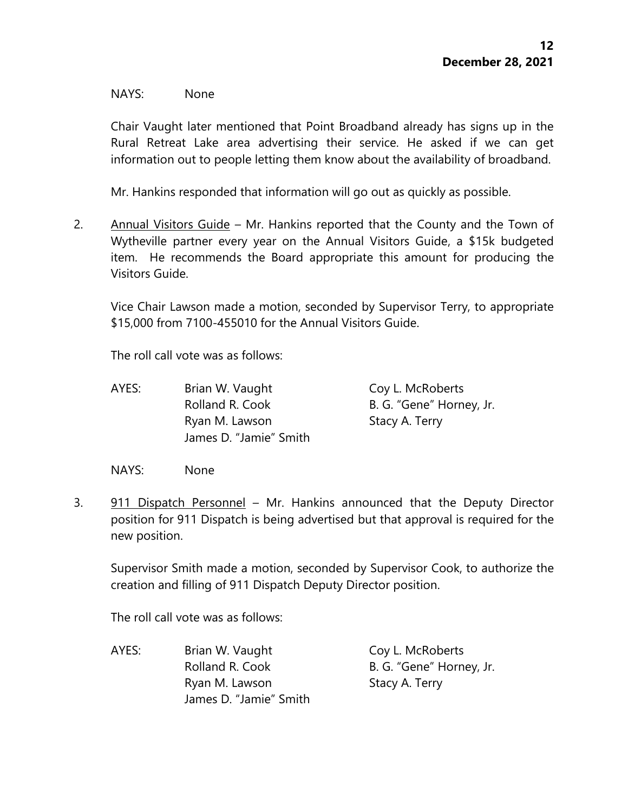#### NAYS: None

Chair Vaught later mentioned that Point Broadband already has signs up in the Rural Retreat Lake area advertising their service. He asked if we can get information out to people letting them know about the availability of broadband.

Mr. Hankins responded that information will go out as quickly as possible.

2. Annual Visitors Guide – Mr. Hankins reported that the County and the Town of Wytheville partner every year on the Annual Visitors Guide, a \$15k budgeted item. He recommends the Board appropriate this amount for producing the Visitors Guide.

Vice Chair Lawson made a motion, seconded by Supervisor Terry, to appropriate \$15,000 from 7100-455010 for the Annual Visitors Guide.

The roll call vote was as follows:

AYES: Brian W. Vaught Coy L. McRoberts Rolland R. Cook B. G. "Gene" Horney, Jr. Ryan M. Lawson Stacy A. Terry James D. "Jamie" Smith

NAYS: None

3. 911 Dispatch Personnel – Mr. Hankins announced that the Deputy Director position for 911 Dispatch is being advertised but that approval is required for the new position.

Supervisor Smith made a motion, seconded by Supervisor Cook, to authorize the creation and filling of 911 Dispatch Deputy Director position.

The roll call vote was as follows:

AYES: Brian W. Vaught Coy L. McRoberts Rolland R. Cook B. G. "Gene" Horney, Jr. Ryan M. Lawson Stacy A. Terry James D. "Jamie" Smith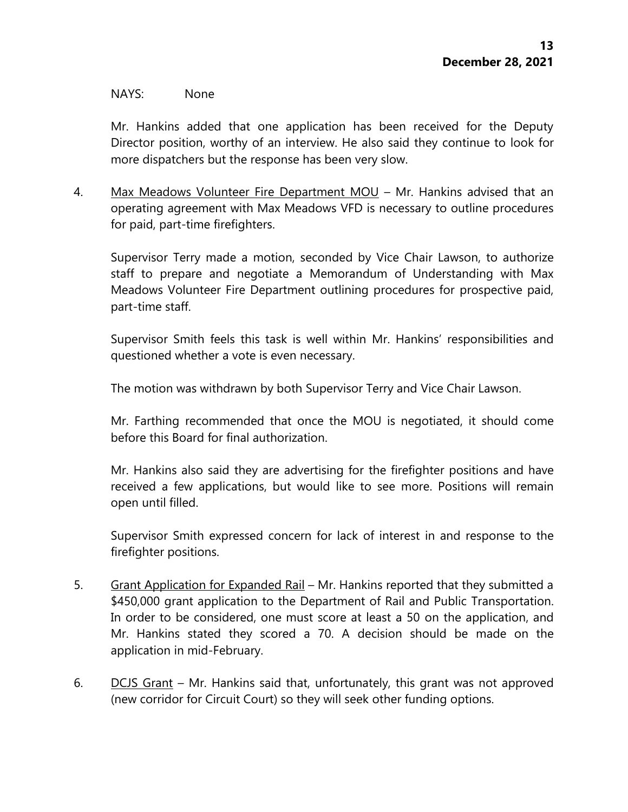#### NAYS: None

Mr. Hankins added that one application has been received for the Deputy Director position, worthy of an interview. He also said they continue to look for more dispatchers but the response has been very slow.

4. Max Meadows Volunteer Fire Department MOU – Mr. Hankins advised that an operating agreement with Max Meadows VFD is necessary to outline procedures for paid, part-time firefighters.

Supervisor Terry made a motion, seconded by Vice Chair Lawson, to authorize staff to prepare and negotiate a Memorandum of Understanding with Max Meadows Volunteer Fire Department outlining procedures for prospective paid, part-time staff.

Supervisor Smith feels this task is well within Mr. Hankins' responsibilities and questioned whether a vote is even necessary.

The motion was withdrawn by both Supervisor Terry and Vice Chair Lawson.

Mr. Farthing recommended that once the MOU is negotiated, it should come before this Board for final authorization.

Mr. Hankins also said they are advertising for the firefighter positions and have received a few applications, but would like to see more. Positions will remain open until filled.

Supervisor Smith expressed concern for lack of interest in and response to the firefighter positions.

- 5. Grant Application for Expanded Rail Mr. Hankins reported that they submitted a \$450,000 grant application to the Department of Rail and Public Transportation. In order to be considered, one must score at least a 50 on the application, and Mr. Hankins stated they scored a 70. A decision should be made on the application in mid-February.
- 6. DCJS Grant Mr. Hankins said that, unfortunately, this grant was not approved (new corridor for Circuit Court) so they will seek other funding options.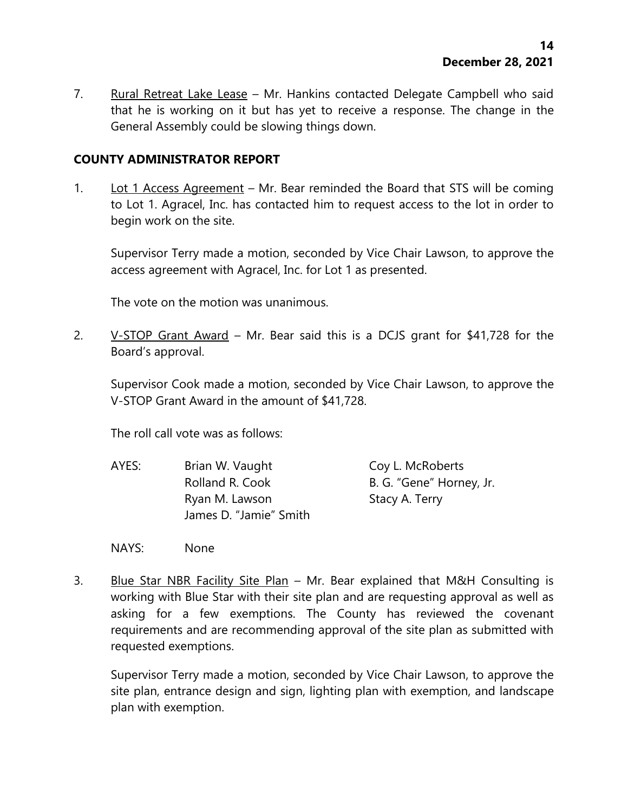7. Rural Retreat Lake Lease – Mr. Hankins contacted Delegate Campbell who said that he is working on it but has yet to receive a response. The change in the General Assembly could be slowing things down.

### **COUNTY ADMINISTRATOR REPORT**

1. Lot 1 Access Agreement – Mr. Bear reminded the Board that STS will be coming to Lot 1. Agracel, Inc. has contacted him to request access to the lot in order to begin work on the site.

Supervisor Terry made a motion, seconded by Vice Chair Lawson, to approve the access agreement with Agracel, Inc. for Lot 1 as presented.

The vote on the motion was unanimous.

2.  $V-STOP$  Grant Award – Mr. Bear said this is a DCJS grant for \$41,728 for the Board's approval.

Supervisor Cook made a motion, seconded by Vice Chair Lawson, to approve the V-STOP Grant Award in the amount of \$41,728.

The roll call vote was as follows:

- AYES: Brian W. Vaught Coy L. McRoberts Rolland R. Cook B. G. "Gene" Horney, Jr. Ryan M. Lawson Stacy A. Terry James D. "Jamie" Smith
- NAYS: None
- 3. Blue Star NBR Facility Site Plan Mr. Bear explained that M&H Consulting is working with Blue Star with their site plan and are requesting approval as well as asking for a few exemptions. The County has reviewed the covenant requirements and are recommending approval of the site plan as submitted with requested exemptions.

Supervisor Terry made a motion, seconded by Vice Chair Lawson, to approve the site plan, entrance design and sign, lighting plan with exemption, and landscape plan with exemption.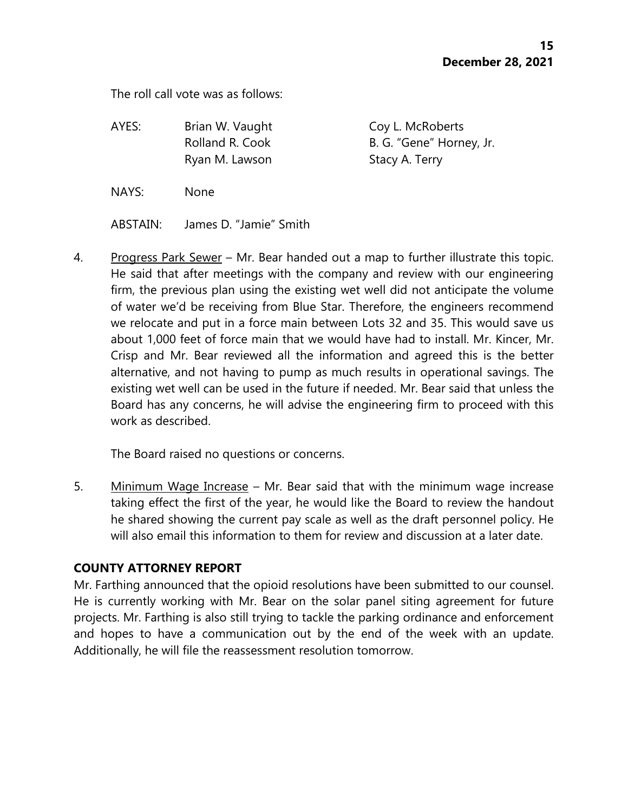The roll call vote was as follows:

| AYES: | Brian W. Vaught | Coy L. McRoberts         |
|-------|-----------------|--------------------------|
|       | Rolland R. Cook | B. G. "Gene" Horney, Jr. |
|       | Ryan M. Lawson  | Stacy A. Terry           |
| NAYS: | <b>None</b>     |                          |

ABSTAIN: James D. "Jamie" Smith

4. Progress Park Sewer – Mr. Bear handed out a map to further illustrate this topic. He said that after meetings with the company and review with our engineering firm, the previous plan using the existing wet well did not anticipate the volume of water we'd be receiving from Blue Star. Therefore, the engineers recommend we relocate and put in a force main between Lots 32 and 35. This would save us about 1,000 feet of force main that we would have had to install. Mr. Kincer, Mr. Crisp and Mr. Bear reviewed all the information and agreed this is the better alternative, and not having to pump as much results in operational savings. The existing wet well can be used in the future if needed. Mr. Bear said that unless the Board has any concerns, he will advise the engineering firm to proceed with this work as described.

The Board raised no questions or concerns.

5. Minimum Wage Increase – Mr. Bear said that with the minimum wage increase taking effect the first of the year, he would like the Board to review the handout he shared showing the current pay scale as well as the draft personnel policy. He will also email this information to them for review and discussion at a later date.

### **COUNTY ATTORNEY REPORT**

Mr. Farthing announced that the opioid resolutions have been submitted to our counsel. He is currently working with Mr. Bear on the solar panel siting agreement for future projects. Mr. Farthing is also still trying to tackle the parking ordinance and enforcement and hopes to have a communication out by the end of the week with an update. Additionally, he will file the reassessment resolution tomorrow.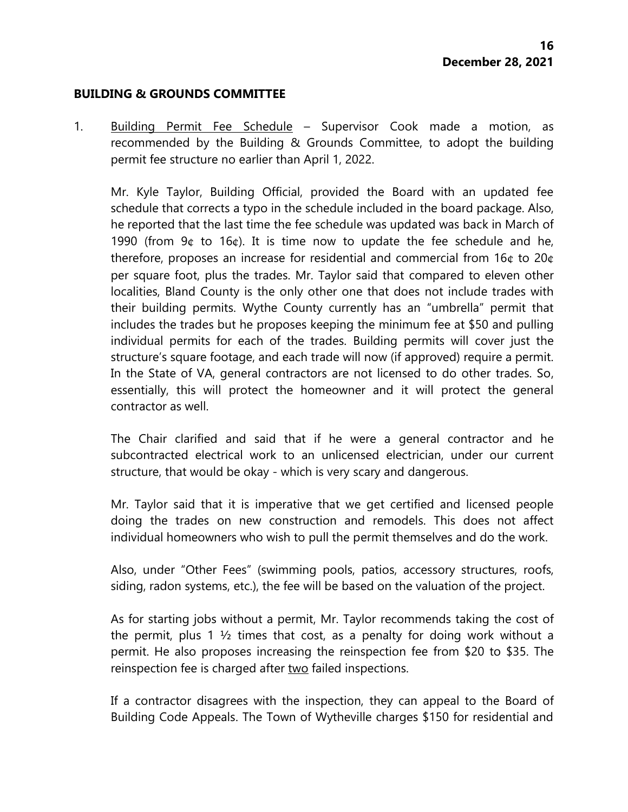#### **BUILDING & GROUNDS COMMITTEE**

1. Building Permit Fee Schedule – Supervisor Cook made a motion, as recommended by the Building & Grounds Committee, to adopt the building permit fee structure no earlier than April 1, 2022.

Mr. Kyle Taylor, Building Official, provided the Board with an updated fee schedule that corrects a typo in the schedule included in the board package. Also, he reported that the last time the fee schedule was updated was back in March of 1990 (from  $9¢$  to  $16¢$ ). It is time now to update the fee schedule and he, therefore, proposes an increase for residential and commercial from 16¢ to 20¢ per square foot, plus the trades. Mr. Taylor said that compared to eleven other localities, Bland County is the only other one that does not include trades with their building permits. Wythe County currently has an "umbrella" permit that includes the trades but he proposes keeping the minimum fee at \$50 and pulling individual permits for each of the trades. Building permits will cover just the structure's square footage, and each trade will now (if approved) require a permit. In the State of VA, general contractors are not licensed to do other trades. So, essentially, this will protect the homeowner and it will protect the general contractor as well.

The Chair clarified and said that if he were a general contractor and he subcontracted electrical work to an unlicensed electrician, under our current structure, that would be okay - which is very scary and dangerous.

Mr. Taylor said that it is imperative that we get certified and licensed people doing the trades on new construction and remodels. This does not affect individual homeowners who wish to pull the permit themselves and do the work.

Also, under "Other Fees" (swimming pools, patios, accessory structures, roofs, siding, radon systems, etc.), the fee will be based on the valuation of the project.

As for starting jobs without a permit, Mr. Taylor recommends taking the cost of the permit, plus 1  $\frac{1}{2}$  times that cost, as a penalty for doing work without a permit. He also proposes increasing the reinspection fee from \$20 to \$35. The reinspection fee is charged after two failed inspections.

If a contractor disagrees with the inspection, they can appeal to the Board of Building Code Appeals. The Town of Wytheville charges \$150 for residential and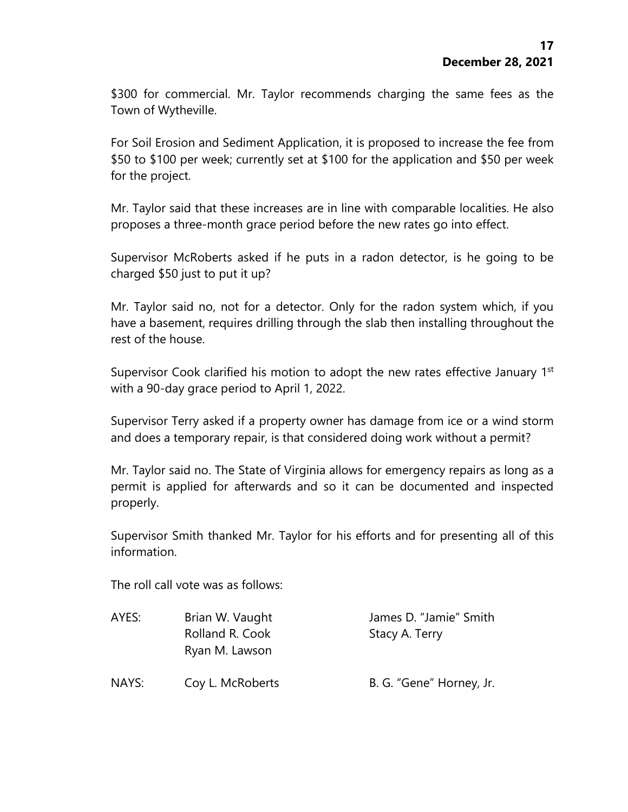\$300 for commercial. Mr. Taylor recommends charging the same fees as the Town of Wytheville.

For Soil Erosion and Sediment Application, it is proposed to increase the fee from \$50 to \$100 per week; currently set at \$100 for the application and \$50 per week for the project.

Mr. Taylor said that these increases are in line with comparable localities. He also proposes a three-month grace period before the new rates go into effect.

Supervisor McRoberts asked if he puts in a radon detector, is he going to be charged \$50 just to put it up?

Mr. Taylor said no, not for a detector. Only for the radon system which, if you have a basement, requires drilling through the slab then installing throughout the rest of the house.

Supervisor Cook clarified his motion to adopt the new rates effective January 1<sup>st</sup> with a 90-day grace period to April 1, 2022.

Supervisor Terry asked if a property owner has damage from ice or a wind storm and does a temporary repair, is that considered doing work without a permit?

Mr. Taylor said no. The State of Virginia allows for emergency repairs as long as a permit is applied for afterwards and so it can be documented and inspected properly.

Supervisor Smith thanked Mr. Taylor for his efforts and for presenting all of this information.

The roll call vote was as follows:

| AYES: | Brian W. Vaught  | James D. "Jamie" Smith   |
|-------|------------------|--------------------------|
|       | Rolland R. Cook  | Stacy A. Terry           |
|       | Ryan M. Lawson   |                          |
| NAYS: | Coy L. McRoberts | B. G. "Gene" Horney, Jr. |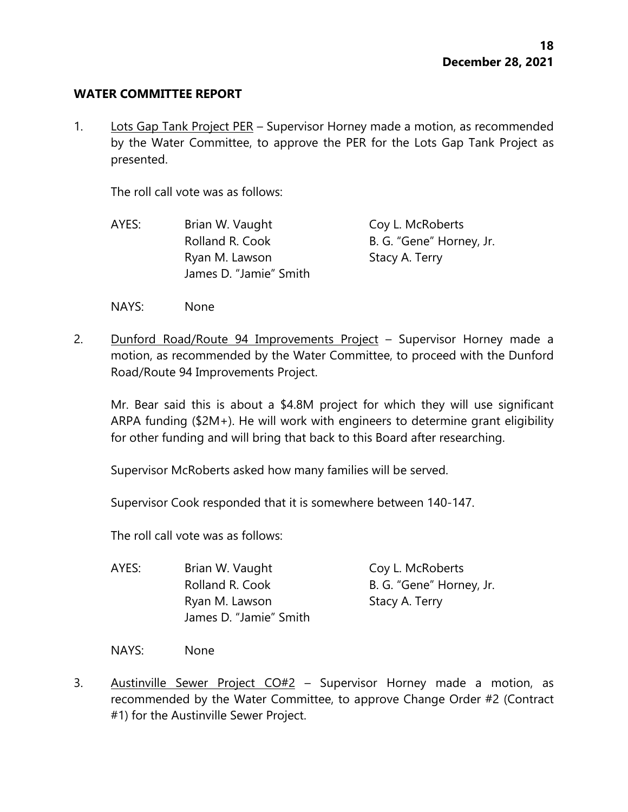#### **WATER COMMITTEE REPORT**

1. Lots Gap Tank Project PER – Supervisor Horney made a motion, as recommended by the Water Committee, to approve the PER for the Lots Gap Tank Project as presented.

The roll call vote was as follows:

- AYES: Brian W. Vaught Coy L. McRoberts Rolland R. Cook B. G. "Gene" Horney, Jr. Ryan M. Lawson Stacy A. Terry James D. "Jamie" Smith
- NAYS: None
- 2. Dunford Road/Route 94 Improvements Project Supervisor Horney made a motion, as recommended by the Water Committee, to proceed with the Dunford Road/Route 94 Improvements Project.

Mr. Bear said this is about a \$4.8M project for which they will use significant ARPA funding (\$2M+). He will work with engineers to determine grant eligibility for other funding and will bring that back to this Board after researching.

Supervisor McRoberts asked how many families will be served.

Supervisor Cook responded that it is somewhere between 140-147.

The roll call vote was as follows:

AYES: Brian W. Vaught Coy L. McRoberts Rolland R. Cook B. G. "Gene" Horney, Jr. Ryan M. Lawson Stacy A. Terry James D. "Jamie" Smith

NAYS: None

3. Austinville Sewer Project CO#2 – Supervisor Horney made a motion, as recommended by the Water Committee, to approve Change Order #2 (Contract #1) for the Austinville Sewer Project.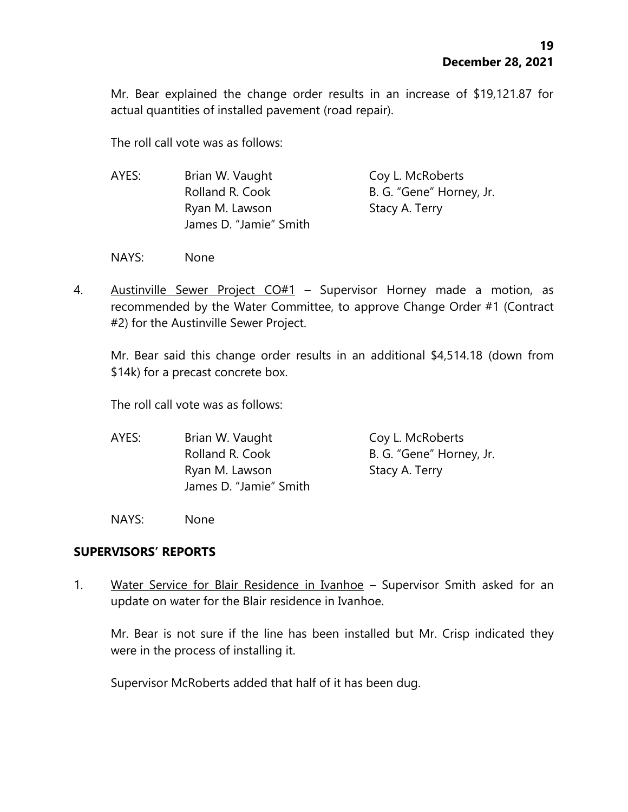Mr. Bear explained the change order results in an increase of \$19,121.87 for actual quantities of installed pavement (road repair).

The roll call vote was as follows:

| AYES: | Brian W. Vaught        | Coy L. McRoberts         |
|-------|------------------------|--------------------------|
|       | Rolland R. Cook        | B. G. "Gene" Horney, Jr. |
|       | Ryan M. Lawson         | Stacy A. Terry           |
|       | James D. "Jamie" Smith |                          |

NAYS: None

4. Austinville Sewer Project CO#1 - Supervisor Horney made a motion, as recommended by the Water Committee, to approve Change Order #1 (Contract #2) for the Austinville Sewer Project.

Mr. Bear said this change order results in an additional \$4,514.18 (down from \$14k) for a precast concrete box.

The roll call vote was as follows:

AYES: Brian W. Vaught Coy L. McRoberts Rolland R. Cook B. G. "Gene" Horney, Jr. Ryan M. Lawson Stacy A. Terry James D. "Jamie" Smith

NAYS: None

### **SUPERVISORS' REPORTS**

1. Water Service for Blair Residence in Ivanhoe – Supervisor Smith asked for an update on water for the Blair residence in Ivanhoe.

Mr. Bear is not sure if the line has been installed but Mr. Crisp indicated they were in the process of installing it.

Supervisor McRoberts added that half of it has been dug.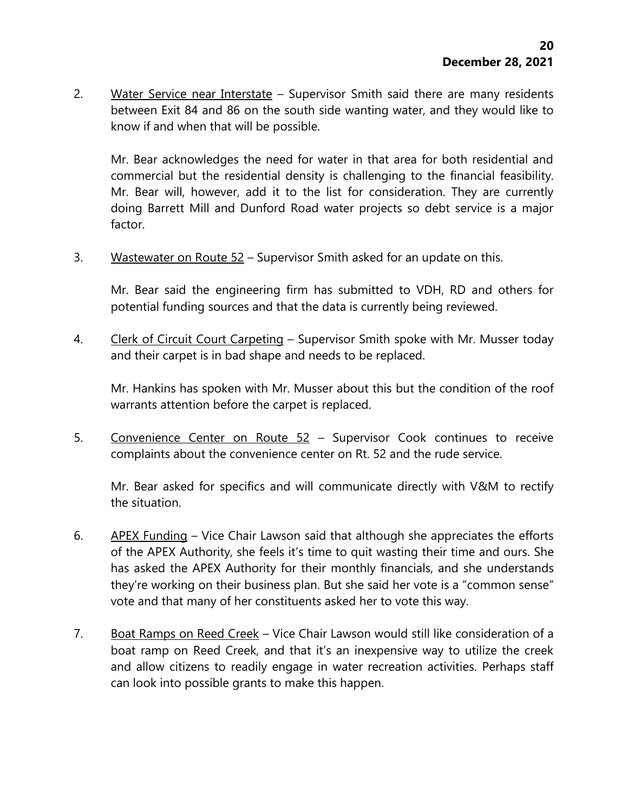2. Water Service near Interstate - Supervisor Smith said there are many residents between Exit 84 and 86 on the south side wanting water, and they would like to know if and when that will be possible.

Mr. Bear acknowledges the need for water in that area for both residential and commercial but the residential density is challenging to the financial feasibility. Mr. Bear will, however, add it to the list for consideration. They are currently doing Barrett Mill and Dunford Road water projects so debt service is a major factor.

3. Wastewater on Route 52 – Supervisor Smith asked for an update on this.

Mr. Bear said the engineering firm has submitted to VDH, RD and others for potential funding sources and that the data is currently being reviewed.

4. Clerk of Circuit Court Carpeting – Supervisor Smith spoke with Mr. Musser today and their carpet is in bad shape and needs to be replaced.

Mr. Hankins has spoken with Mr. Musser about this but the condition of the roof warrants attention before the carpet is replaced.

5. Convenience Center on Route 52 – Supervisor Cook continues to receive complaints about the convenience center on Rt. 52 and the rude service.

Mr. Bear asked for specifics and will communicate directly with V&M to rectify the situation.

- 6. APEX Funding Vice Chair Lawson said that although she appreciates the efforts of the APEX Authority, she feels it's time to quit wasting their time and ours. She has asked the APEX Authority for their monthly financials, and she understands they're working on their business plan. But she said her vote is a "common sense" vote and that many of her constituents asked her to vote this way.
- 7. Boat Ramps on Reed Creek Vice Chair Lawson would still like consideration of a boat ramp on Reed Creek, and that it's an inexpensive way to utilize the creek and allow citizens to readily engage in water recreation activities. Perhaps staff can look into possible grants to make this happen.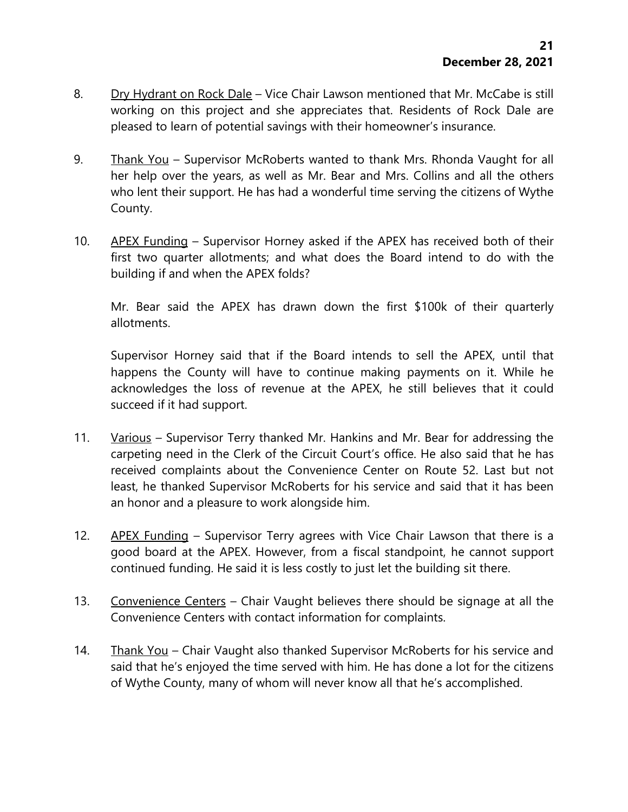- 8. Dry Hydrant on Rock Dale Vice Chair Lawson mentioned that Mr. McCabe is still working on this project and she appreciates that. Residents of Rock Dale are pleased to learn of potential savings with their homeowner's insurance.
- 9. Thank You Supervisor McRoberts wanted to thank Mrs. Rhonda Vaught for all her help over the years, as well as Mr. Bear and Mrs. Collins and all the others who lent their support. He has had a wonderful time serving the citizens of Wythe County.
- 10. APEX Funding Supervisor Horney asked if the APEX has received both of their first two quarter allotments; and what does the Board intend to do with the building if and when the APEX folds?

Mr. Bear said the APEX has drawn down the first \$100k of their quarterly allotments.

Supervisor Horney said that if the Board intends to sell the APEX, until that happens the County will have to continue making payments on it. While he acknowledges the loss of revenue at the APEX, he still believes that it could succeed if it had support.

- 11. Various Supervisor Terry thanked Mr. Hankins and Mr. Bear for addressing the carpeting need in the Clerk of the Circuit Court's office. He also said that he has received complaints about the Convenience Center on Route 52. Last but not least, he thanked Supervisor McRoberts for his service and said that it has been an honor and a pleasure to work alongside him.
- 12. APEX Funding Supervisor Terry agrees with Vice Chair Lawson that there is a good board at the APEX. However, from a fiscal standpoint, he cannot support continued funding. He said it is less costly to just let the building sit there.
- 13. Convenience Centers Chair Vaught believes there should be signage at all the Convenience Centers with contact information for complaints.
- 14. Thank You Chair Vaught also thanked Supervisor McRoberts for his service and said that he's enjoyed the time served with him. He has done a lot for the citizens of Wythe County, many of whom will never know all that he's accomplished.